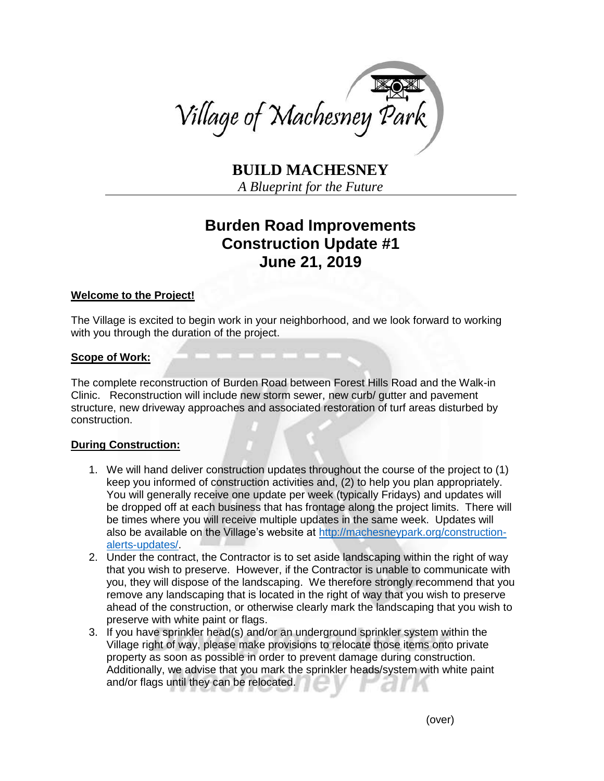

**BUILD MACHESNEY**

*A Blueprint for the Future*

# **Burden Road Improvements Construction Update #1 June 21, 2019**

## **Welcome to the Project!**

The Village is excited to begin work in your neighborhood, and we look forward to working with you through the duration of the project.

## **Scope of Work:**

The complete reconstruction of Burden Road between Forest Hills Road and the Walk-in Clinic. Reconstruction will include new storm sewer, new curb/ gutter and pavement structure, new driveway approaches and associated restoration of turf areas disturbed by construction.

## **During Construction:**

- 1. We will hand deliver construction updates throughout the course of the project to (1) keep you informed of construction activities and, (2) to help you plan appropriately. You will generally receive one update per week (typically Fridays) and updates will be dropped off at each business that has frontage along the project limits. There will be times where you will receive multiple updates in the same week. Updates will also be available on the Village's website at [http://machesneypark.org/construction](http://machesneypark.org/construction-alerts-updates/)[alerts-updates/.](http://machesneypark.org/construction-alerts-updates/)
- 2. Under the contract, the Contractor is to set aside landscaping within the right of way that you wish to preserve. However, if the Contractor is unable to communicate with you, they will dispose of the landscaping. We therefore strongly recommend that you remove any landscaping that is located in the right of way that you wish to preserve ahead of the construction, or otherwise clearly mark the landscaping that you wish to preserve with white paint or flags.
- 3. If you have sprinkler head(s) and/or an underground sprinkler system within the Village right of way, please make provisions to relocate those items onto private property as soon as possible in order to prevent damage during construction. Additionally, we advise that you mark the sprinkler heads/system with white paint and/or flags until they can be relocated.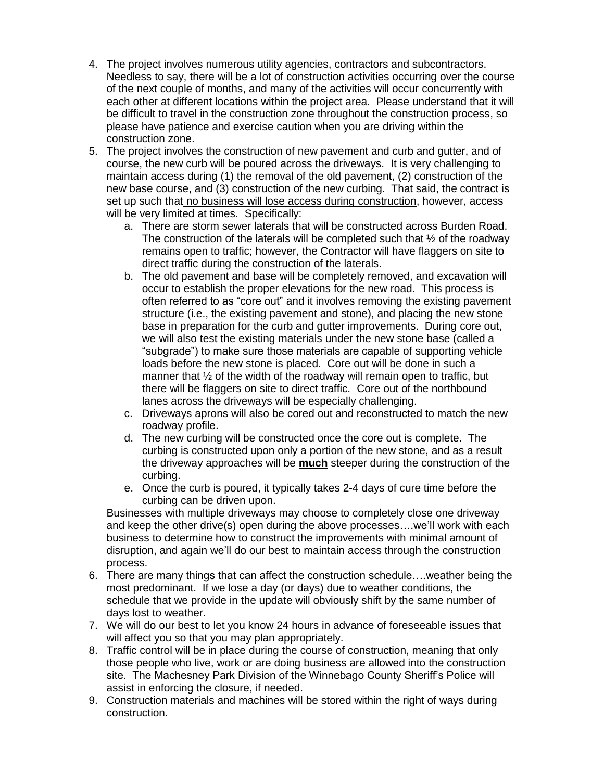- 4. The project involves numerous utility agencies, contractors and subcontractors. Needless to say, there will be a lot of construction activities occurring over the course of the next couple of months, and many of the activities will occur concurrently with each other at different locations within the project area. Please understand that it will be difficult to travel in the construction zone throughout the construction process, so please have patience and exercise caution when you are driving within the construction zone.
- 5. The project involves the construction of new pavement and curb and gutter, and of course, the new curb will be poured across the driveways. It is very challenging to maintain access during (1) the removal of the old pavement, (2) construction of the new base course, and (3) construction of the new curbing. That said, the contract is set up such that no business will lose access during construction, however, access will be very limited at times. Specifically:
	- a. There are storm sewer laterals that will be constructed across Burden Road. The construction of the laterals will be completed such that  $\frac{1}{2}$  of the roadway remains open to traffic; however, the Contractor will have flaggers on site to direct traffic during the construction of the laterals.
	- b. The old pavement and base will be completely removed, and excavation will occur to establish the proper elevations for the new road. This process is often referred to as "core out" and it involves removing the existing pavement structure (i.e., the existing pavement and stone), and placing the new stone base in preparation for the curb and gutter improvements. During core out, we will also test the existing materials under the new stone base (called a "subgrade") to make sure those materials are capable of supporting vehicle loads before the new stone is placed. Core out will be done in such a manner that ½ of the width of the roadway will remain open to traffic, but there will be flaggers on site to direct traffic. Core out of the northbound lanes across the driveways will be especially challenging.
	- c. Driveways aprons will also be cored out and reconstructed to match the new roadway profile.
	- d. The new curbing will be constructed once the core out is complete. The curbing is constructed upon only a portion of the new stone, and as a result the driveway approaches will be **much** steeper during the construction of the curbing.
	- e. Once the curb is poured, it typically takes 2-4 days of cure time before the curbing can be driven upon.

Businesses with multiple driveways may choose to completely close one driveway and keep the other drive(s) open during the above processes….we'll work with each business to determine how to construct the improvements with minimal amount of disruption, and again we'll do our best to maintain access through the construction process.

- 6. There are many things that can affect the construction schedule….weather being the most predominant. If we lose a day (or days) due to weather conditions, the schedule that we provide in the update will obviously shift by the same number of days lost to weather.
- 7. We will do our best to let you know 24 hours in advance of foreseeable issues that will affect you so that you may plan appropriately.
- 8. Traffic control will be in place during the course of construction, meaning that only those people who live, work or are doing business are allowed into the construction site. The Machesney Park Division of the Winnebago County Sheriff's Police will assist in enforcing the closure, if needed.
- 9. Construction materials and machines will be stored within the right of ways during construction.